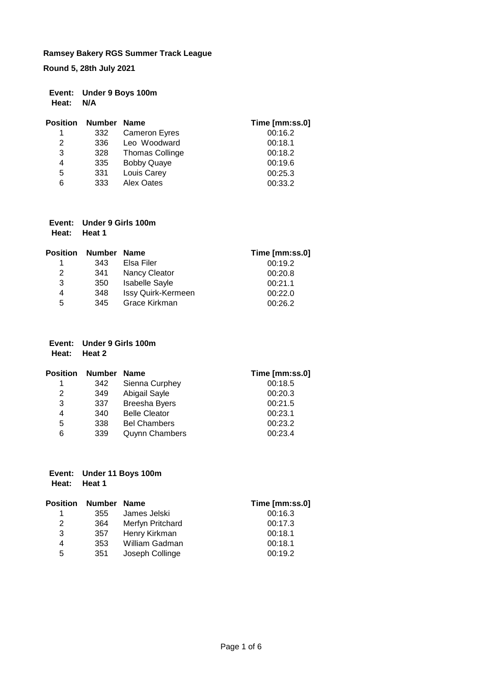**Round 5, 28th July 2021**

|           | Event: Under 9 Boys 100m |
|-----------|--------------------------|
| Heat: N/A |                          |

| <b>Position</b> | <b>Number</b> | <b>Name</b>            | Time [mm:ss.0] |
|-----------------|---------------|------------------------|----------------|
| 1               | 332           | <b>Cameron Eyres</b>   | 00:16.2        |
| 2               | 336           | Leo Woodward           | 00:18.1        |
| 3               | 328           | <b>Thomas Collinge</b> | 00:18.2        |
| 4               | 335           | <b>Bobby Quaye</b>     | 00:19.6        |
| 5               | 331           | Louis Carey            | 00:25.3        |
| 6               | 333           | Alex Oates             | 00:33.2        |

| Event: Under 9 Girls 100m |
|---------------------------|
| Heat: Heat 1              |

| <b>Position</b> | Number Name |                       | Time [mm:ss.0] |
|-----------------|-------------|-----------------------|----------------|
|                 | 343         | Elsa Filer            | 00:19.2        |
| 2               | 341         | <b>Nancy Cleator</b>  | 00:20.8        |
| 3               | 350         | <b>Isabelle Sayle</b> | 00:21.1        |
| 4               | 348         | Issy Quirk-Kermeen    | 00:22.0        |
| 5               | 345         | Grace Kirkman         | 00:26.2        |

|       | Event: Under 9 Girls 100m |
|-------|---------------------------|
| Heat: | Heat 2                    |

| <b>Position</b> | Number | <b>Name</b>           | Time [mm:ss.0] |
|-----------------|--------|-----------------------|----------------|
| 1               | 342    | Sienna Curphey        | 00:18.5        |
| 2               | 349    | Abigail Sayle         | 00:20.3        |
| 3               | 337    | <b>Breesha Byers</b>  | 00:21.5        |
| 4               | 340    | <b>Belle Cleator</b>  | 00:23.1        |
| 5               | 338    | <b>Bel Chambers</b>   | 00:23.2        |
| 6               | 339    | <b>Quynn Chambers</b> | 00:23.4        |

## **Event: Under 11 Boys 100m Heat: Heat 1**

| <b>Position</b> | <b>Number</b> | <b>Name</b>      | Time [mm:ss.0] |
|-----------------|---------------|------------------|----------------|
| 1               | 355           | James Jelski     | 00:16.3        |
| 2               | 364           | Merfyn Pritchard | 00:17.3        |
| 3               | 357           | Henry Kirkman    | 00:18.1        |
| 4               | 353           | William Gadman   | 00:18.1        |
| 5               | 351           | Joseph Collinge  | 00:19.2        |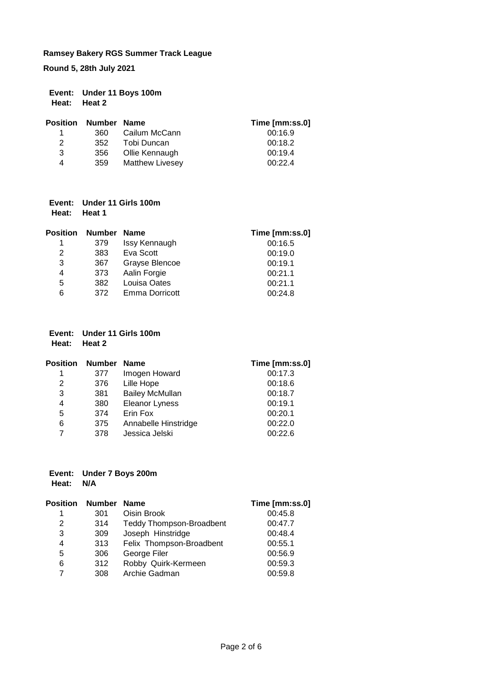**Round 5, 28th July 2021**

| Event: Under 11 Boys 100m |
|---------------------------|
| Heat: Heat 2              |

|   | <b>Position Number Name</b> |                        | Time [mm:ss.0] |
|---|-----------------------------|------------------------|----------------|
|   | 360.                        | Cailum McCann          | 00:16.9        |
| 2 | 352                         | Tobi Duncan            | 00:18.2        |
| 3 | 356                         | Ollie Kennaugh         | 00:19.4        |
| 4 | 359                         | <b>Matthew Livesey</b> | 00:22.4        |

## **Event: Under 11 Girls 100m Heat: Heat 1**

| <b>Position</b> | <b>Number</b> | <b>Name</b>    | Time [mm:ss.0] |
|-----------------|---------------|----------------|----------------|
|                 | 379           | Issy Kennaugh  | 00:16.5        |
| 2               | 383           | Eva Scott      | 00:19.0        |
| 3               | 367           | Grayse Blencoe | 00:19.1        |
| 4               | 373           | Aalin Forgie   | 00:21.1        |
| 5               | 382           | Louisa Oates   | 00:21.1        |
| 6               | 372           | Emma Dorricott | 00:24.8        |

#### **Event: Under 11 Girls 100m Heat: Heat 2**

| <b>Position</b> | Number | <b>Name</b>            | Time [mm:ss.0] |
|-----------------|--------|------------------------|----------------|
| 1               | 377    | Imogen Howard          | 00:17.3        |
| 2               | 376    | Lille Hope             | 00:18.6        |
| 3               | 381    | <b>Bailey McMullan</b> | 00:18.7        |
| 4               | 380    | <b>Eleanor Lyness</b>  | 00:19.1        |
| 5               | 374    | Erin Fox               | 00:20.1        |
| 6               | 375    | Annabelle Hinstridge   | 00:22.0        |
| 7               | 378    | Jessica Jelski         | 00:22.6        |

#### **Event: Under 7 Boys 200m Heat: N/A**

| Position | Number | <b>Name</b>                     | Time [mm:ss.0] |
|----------|--------|---------------------------------|----------------|
| 1        | 301    | Oisin Brook                     | 00:45.8        |
| 2        | 314    | <b>Teddy Thompson-Broadbent</b> | 00:47.7        |
| 3        | 309    | Joseph Hinstridge               | 00:48.4        |
| 4        | 313    | Felix Thompson-Broadbent        | 00:55.1        |
| 5        | 306    | George Filer                    | 00:56.9        |
| 6        | 312    | Robby Quirk-Kermeen             | 00:59.3        |
| 7        | 308    | Archie Gadman                   | 00:59.8        |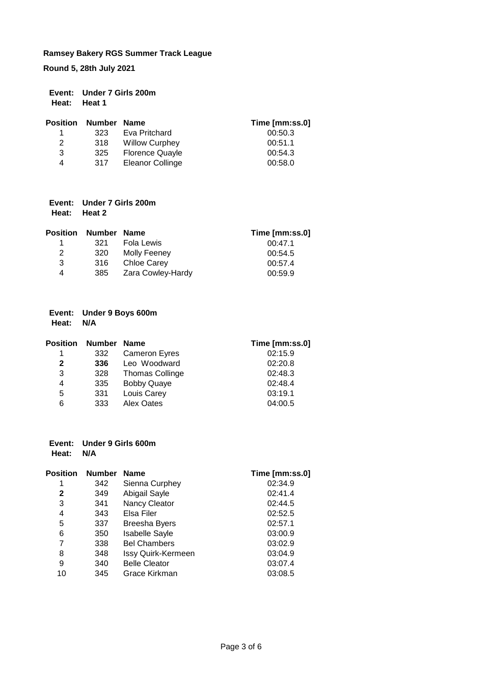**Round 5, 28th July 2021**

|              | Event: Under 7 Girls 200m |
|--------------|---------------------------|
| Heat: Heat 1 |                           |

| <b>Position</b> | Number Name |                        | Time [mm:ss.0] |
|-----------------|-------------|------------------------|----------------|
| 1.              | 323         | Eva Pritchard          | 00:50.3        |
| 2               | 318         | <b>Willow Curphey</b>  | 00:51.1        |
| 3               | 325         | <b>Florence Quayle</b> | 00:54.3        |
| 4               | 317         | Eleanor Collinge       | 00:58.0        |

|       | Event: Under 7 Girls 200m |
|-------|---------------------------|
| Heat: | <b>Heat 2</b>             |

|      |                   | Time [mm:ss.0]        |
|------|-------------------|-----------------------|
| 321  | Fola Lewis        | 00:47.1               |
| 320  | Molly Feeney      | 00:54.5               |
| .316 | Chloe Carey       | 00:57.4               |
| 385  | Zara Cowley-Hardy | 00:59.9               |
|      |                   | Number<br><b>Name</b> |

## **Event: Under 9 Boys 600m Heat: N/A**

| <b>Position</b> | Number Name |                        | Time [mm:ss.0] |
|-----------------|-------------|------------------------|----------------|
| 1               | 332         | <b>Cameron Eyres</b>   | 02:15.9        |
| 2               | 336         | Leo Woodward           | 02:20.8        |
| 3               | 328         | <b>Thomas Collinge</b> | 02:48.3        |
| 4               | 335         | <b>Bobby Quaye</b>     | 02:48.4        |
| 5               | 331         | Louis Carey            | 03:19.1        |
| 6               | 333         | Alex Oates             | 04:00.5        |

#### **Event: Under 9 Girls 600m Heat: N/A**

| <b>Position</b> | <b>Number</b> | <b>Name</b>               | Time [mm:ss.0] |
|-----------------|---------------|---------------------------|----------------|
|                 | 342           | Sienna Curphey            | 02:34.9        |
| 2               | 349           | Abigail Sayle             | 02:41.4        |
| 3               | 341           | Nancy Cleator             | 02:44.5        |
| 4               | 343           | Elsa Filer                | 02:52.5        |
| 5               | 337           | <b>Breesha Byers</b>      | 02:57.1        |
| 6               | 350           | <b>Isabelle Sayle</b>     | 03:00.9        |
| 7               | 338           | <b>Bel Chambers</b>       | 03:02.9        |
| 8               | 348           | <b>Issy Quirk-Kermeen</b> | 03:04.9        |
| 9               | 340           | <b>Belle Cleator</b>      | 03:07.4        |
| 10              | 345           | Grace Kirkman             | 03:08.5        |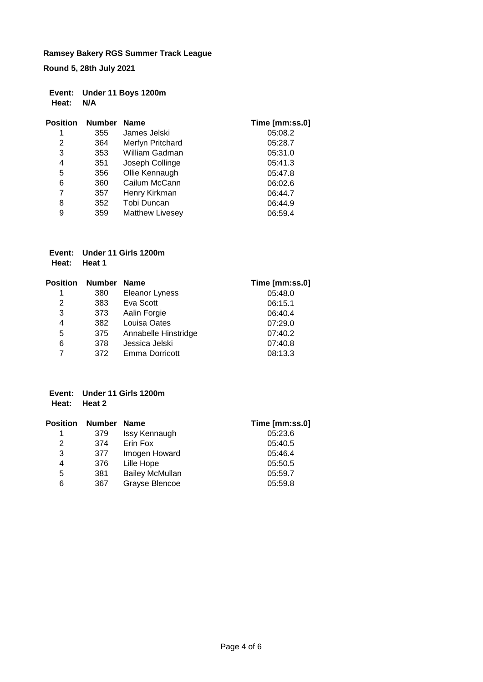**Round 5, 28th July 2021**

|           | Event: Under 11 Boys 1200m |
|-----------|----------------------------|
| Heat: N/A |                            |

| <b>Position</b> | <b>Number</b> | <b>Name</b>            | Time [mm:ss.0] |
|-----------------|---------------|------------------------|----------------|
| 1               | 355           | James Jelski           | 05:08.2        |
| 2               | 364           | Merfyn Pritchard       | 05:28.7        |
| 3               | 353           | William Gadman         | 05:31.0        |
| 4               | 351           | Joseph Collinge        | 05:41.3        |
| 5               | 356           | Ollie Kennaugh         | 05:47.8        |
| 6               | 360           | Cailum McCann          | 06:02.6        |
| 7               | 357           | Henry Kirkman          | 06:44.7        |
| 8               | 352           | Tobi Duncan            | 06:44.9        |
| 9               | 359           | <b>Matthew Livesey</b> | 06:59.4        |

#### **Event: Under 11 Girls 1200m Heat: Heat 1**

| <b>Position</b> | Number | <b>Name</b>           | Time [mm:ss.0] |
|-----------------|--------|-----------------------|----------------|
| 1               | 380    | Eleanor Lyness        | 05:48.0        |
| 2               | 383    | Eva Scott             | 06:15.1        |
| 3               | 373    | Aalin Forgie          | 06:40.4        |
| 4               | 382    | Louisa Oates          | 07:29.0        |
| 5               | 375    | Annabelle Hinstridge  | 07:40.2        |
| 6               | 378    | Jessica Jelski        | 07:40.8        |
|                 | 372    | <b>Emma Dorricott</b> | 08:13.3        |

## **Event: Under 11 Girls 1200m Heat: Heat 2**

| <b>Position</b> | <b>Number</b> | <b>Name</b>            | Time [mm:ss.0] |
|-----------------|---------------|------------------------|----------------|
| 1               | 379           | Issy Kennaugh          | 05:23.6        |
| 2               | 374           | Erin Fox               | 05:40.5        |
| 3               | 377           | Imogen Howard          | 05:46.4        |
| 4               | 376           | Lille Hope             | 05:50.5        |
| 5               | 381           | <b>Bailey McMullan</b> | 05:59.7        |
| 6               | 367           | Grayse Blencoe         | 05:59.8        |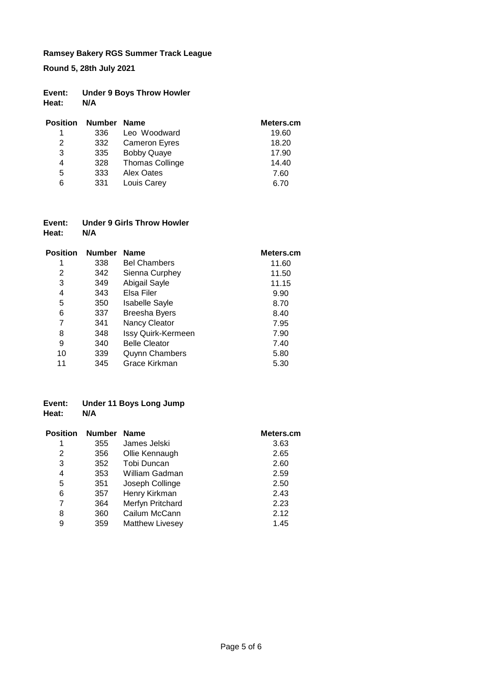**Round 5, 28th July 2021**

| Event: | <b>Under 9 Boys Throw Howler</b> |
|--------|----------------------------------|
| Heat:  | N/A                              |

| <b>Position</b> | <b>Number</b> | <b>Name</b>            | Meters.cm |
|-----------------|---------------|------------------------|-----------|
|                 | 336           | Leo Woodward           | 19.60     |
| 2               | 332           | <b>Cameron Eyres</b>   | 18.20     |
| 3               | 335           | <b>Bobby Quaye</b>     | 17.90     |
| 4               | 328           | <b>Thomas Collinge</b> | 14.40     |
| 5               | 333           | Alex Oates             | 7.60      |
| 6               | 331           | Louis Carey            | 6.70      |

| Event: | Under 9 Girls Throw Howler |
|--------|----------------------------|
| Heat:  | N/A                        |

| <b>Position</b> | <b>Number</b> | <b>Name</b>           | Meters.cm |
|-----------------|---------------|-----------------------|-----------|
| 1               | 338           | <b>Bel Chambers</b>   | 11.60     |
| 2               | 342           | Sienna Curphey        | 11.50     |
| 3               | 349           | Abigail Sayle         | 11.15     |
| 4               | 343           | Elsa Filer            | 9.90      |
| 5               | 350           | <b>Isabelle Sayle</b> | 8.70      |
| 6               | 337           | <b>Breesha Byers</b>  | 8.40      |
| 7               | 341           | Nancy Cleator         | 7.95      |
| 8               | 348           | Issy Quirk-Kermeen    | 7.90      |
| 9               | 340           | <b>Belle Cleator</b>  | 7.40      |
| 10              | 339           | <b>Quynn Chambers</b> | 5.80      |
| 11              | 345           | Grace Kirkman         | 5.30      |

#### **Event: Under 11 Boys Long Jump Heat:**

| <b>Position</b> | <b>Number</b> | <b>Name</b>            | Meters.cm |
|-----------------|---------------|------------------------|-----------|
| 1               | 355           | James Jelski           | 3.63      |
| 2               | 356           | Ollie Kennaugh         | 2.65      |
| 3               | 352           | Tobi Duncan            | 2.60      |
| 4               | 353           | William Gadman         | 2.59      |
| 5               | 351           | Joseph Collinge        | 2.50      |
| 6               | 357           | Henry Kirkman          | 2.43      |
| 7               | 364           | Merfyn Pritchard       | 2.23      |
| 8               | 360           | Cailum McCann          | 2.12      |
| 9               | 359           | <b>Matthew Livesey</b> | 1.45      |